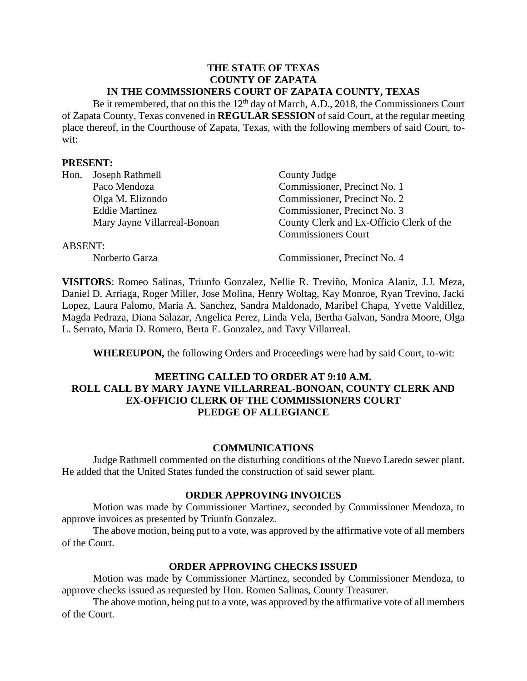#### **THE STATE OF TEXAS COUNTY OF ZAPATA IN THE COMMSSIONERS COURT OF ZAPATA COUNTY, TEXAS**

Be it remembered, that on this the  $12<sup>th</sup>$  day of March, A.D., 2018, the Commissioners Court of Zapata County, Texas convened in **REGULAR SESSION** of said Court, at the regular meeting place thereof, in the Courthouse of Zapata, Texas, with the following members of said Court, towit:

### **PRESENT:**

| Hon.    | Joseph Rathmell              | County Judge                             |
|---------|------------------------------|------------------------------------------|
|         | Paco Mendoza                 | Commissioner, Precinct No. 1             |
|         | Olga M. Elizondo             | Commissioner, Precinct No. 2             |
|         | <b>Eddie Martinez</b>        | Commissioner, Precinct No. 3             |
|         | Mary Jayne Villarreal-Bonoan | County Clerk and Ex-Officio Clerk of the |
|         |                              | <b>Commissioners Court</b>               |
| ABSENT: |                              |                                          |
|         | Norberto Garza               | Commissioner, Precinct No. 4             |

**VISITORS**: Romeo Salinas, Triunfo Gonzalez, Nellie R. Treviño, Monica Alaniz, J.J. Meza, Daniel D. Arriaga, Roger Miller, Jose Molina, Henry Woltag, Kay Monroe, Ryan Trevino, Jacki Lopez, Laura Palomo, Maria A. Sanchez, Sandra Maldonado, Maribel Chapa, Yvette Valdillez, Magda Pedraza, Diana Salazar, Angelica Perez, Linda Vela, Bertha Galvan, Sandra Moore, Olga L. Serrato, Maria D. Romero, Berta E. Gonzalez, and Tavy Villarreal.

**WHEREUPON,** the following Orders and Proceedings were had by said Court, to-wit:

# **MEETING CALLED TO ORDER AT 9:10 A.M. ROLL CALL BY MARY JAYNE VILLARREAL-BONOAN, COUNTY CLERK AND EX-OFFICIO CLERK OF THE COMMISSIONERS COURT PLEDGE OF ALLEGIANCE**

### **COMMUNICATIONS**

Judge Rathmell commented on the disturbing conditions of the Nuevo Laredo sewer plant. He added that the United States funded the construction of said sewer plant.

### **ORDER APPROVING INVOICES**

Motion was made by Commissioner Martinez, seconded by Commissioner Mendoza, to approve invoices as presented by Triunfo Gonzalez.

The above motion, being put to a vote, was approved by the affirmative vote of all members of the Court.

### **ORDER APPROVING CHECKS ISSUED**

Motion was made by Commissioner Martinez, seconded by Commissioner Mendoza, to approve checks issued as requested by Hon. Romeo Salinas, County Treasurer.

The above motion, being put to a vote, was approved by the affirmative vote of all members of the Court.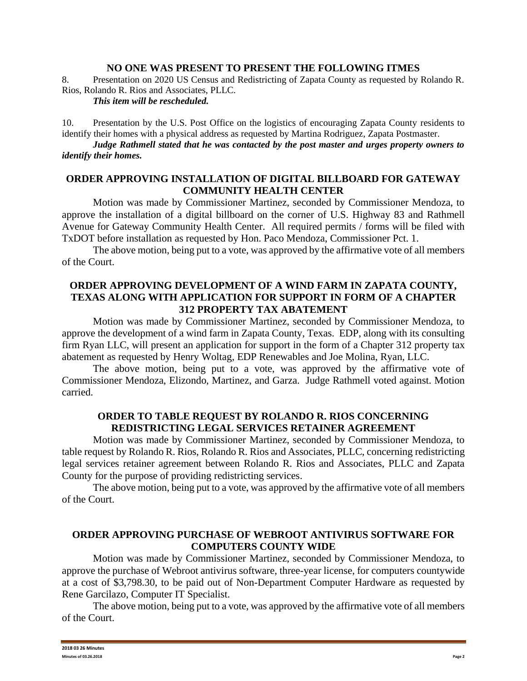## **NO ONE WAS PRESENT TO PRESENT THE FOLLOWING ITMES**

8. Presentation on 2020 US Census and Redistricting of Zapata County as requested by Rolando R. Rios, Rolando R. Rios and Associates, PLLC.

#### *This item will be rescheduled.*

10. Presentation by the U.S. Post Office on the logistics of encouraging Zapata County residents to identify their homes with a physical address as requested by Martina Rodriguez, Zapata Postmaster.

*Judge Rathmell stated that he was contacted by the post master and urges property owners to identify their homes.*

### **ORDER APPROVING INSTALLATION OF DIGITAL BILLBOARD FOR GATEWAY COMMUNITY HEALTH CENTER**

Motion was made by Commissioner Martinez, seconded by Commissioner Mendoza, to approve the installation of a digital billboard on the corner of U.S. Highway 83 and Rathmell Avenue for Gateway Community Health Center. All required permits / forms will be filed with TxDOT before installation as requested by Hon. Paco Mendoza, Commissioner Pct. 1.

The above motion, being put to a vote, was approved by the affirmative vote of all members of the Court.

### **ORDER APPROVING DEVELOPMENT OF A WIND FARM IN ZAPATA COUNTY, TEXAS ALONG WITH APPLICATION FOR SUPPORT IN FORM OF A CHAPTER 312 PROPERTY TAX ABATEMENT**

Motion was made by Commissioner Martinez, seconded by Commissioner Mendoza, to approve the development of a wind farm in Zapata County, Texas. EDP, along with its consulting firm Ryan LLC, will present an application for support in the form of a Chapter 312 property tax abatement as requested by Henry Woltag, EDP Renewables and Joe Molina, Ryan, LLC.

The above motion, being put to a vote, was approved by the affirmative vote of Commissioner Mendoza, Elizondo, Martinez, and Garza. Judge Rathmell voted against. Motion carried.

### **ORDER TO TABLE REQUEST BY ROLANDO R. RIOS CONCERNING REDISTRICTING LEGAL SERVICES RETAINER AGREEMENT**

Motion was made by Commissioner Martinez, seconded by Commissioner Mendoza, to table request by Rolando R. Rios, Rolando R. Rios and Associates, PLLC, concerning redistricting legal services retainer agreement between Rolando R. Rios and Associates, PLLC and Zapata County for the purpose of providing redistricting services.

The above motion, being put to a vote, was approved by the affirmative vote of all members of the Court.

### **ORDER APPROVING PURCHASE OF WEBROOT ANTIVIRUS SOFTWARE FOR COMPUTERS COUNTY WIDE**

Motion was made by Commissioner Martinez, seconded by Commissioner Mendoza, to approve the purchase of Webroot antivirus software, three-year license, for computers countywide at a cost of \$3,798.30, to be paid out of Non-Department Computer Hardware as requested by Rene Garcilazo, Computer IT Specialist.

The above motion, being put to a vote, was approved by the affirmative vote of all members of the Court.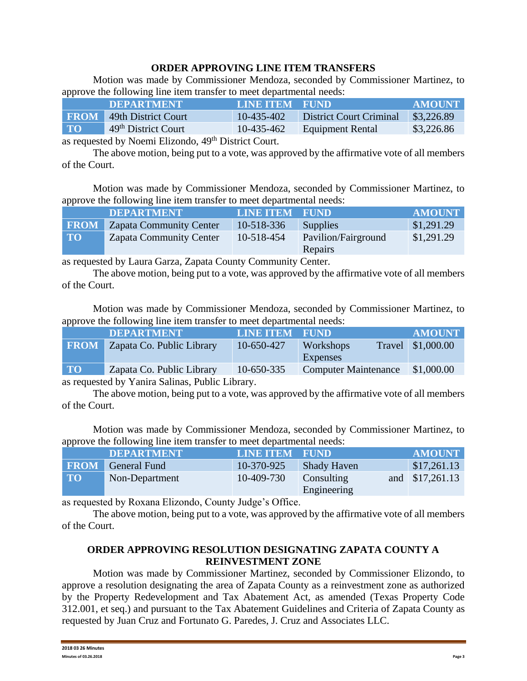# **ORDER APPROVING LINE ITEM TRANSFERS**

Motion was made by Commissioner Mendoza, seconded by Commissioner Martinez, to approve the following line item transfer to meet departmental needs:

|                                                                                                                                 | <b>DEPARTMENT</b>               | <b>LINE ITEM FUND</b> |                                | <b>AMOUNT</b> |
|---------------------------------------------------------------------------------------------------------------------------------|---------------------------------|-----------------------|--------------------------------|---------------|
|                                                                                                                                 | <b>FROM</b> 49th District Court | $10-435-402$          | <b>District Court Criminal</b> | \$3,226.89    |
| <b>TO</b>                                                                                                                       | 49 <sup>th</sup> District Court | 10-435-462            | Equipment Rental               | \$3,226.86    |
| $\mathbf{11} \quad \mathbf{M}$ $\mathbf{F1'}$ $\mathbf{1} \quad \mathbf{40}$ th $\mathbf{D' \cdot \mathbf{M} \cdot \mathbf{C}}$ |                                 |                       |                                |               |

as requested by Noemi Elizondo, 49th District Court.

The above motion, being put to a vote, was approved by the affirmative vote of all members of the Court.

Motion was made by Commissioner Mendoza, seconded by Commissioner Martinez, to approve the following line item transfer to meet departmental needs:

|           | <b>DEPARTMENT</b>                   | <b>LINE ITEM FUND</b> |                                | <b>AMOUNT</b> |
|-----------|-------------------------------------|-----------------------|--------------------------------|---------------|
|           | <b>FROM</b> Zapata Community Center | 10-518-336            | <b>Supplies</b>                | \$1,291.29    |
| <b>TO</b> | <b>Zapata Community Center</b>      | 10-518-454            | Pavilion/Fairground<br>Repairs | \$1,291.29    |

as requested by Laura Garza, Zapata County Community Center.

The above motion, being put to a vote, was approved by the affirmative vote of all members of the Court.

Motion was made by Commissioner Mendoza, seconded by Commissioner Martinez, to approve the following line item transfer to meet departmental needs:

|             | <b>DEPARTMENT</b>         | <b>LINE ITEM FUND</b> |                             | <b>AMOUNT</b>     |
|-------------|---------------------------|-----------------------|-----------------------------|-------------------|
| <b>FROM</b> | Zapata Co. Public Library | 10-650-427            | Workshops                   | Travel \$1,000.00 |
|             |                           |                       | Expenses                    |                   |
| TO          | Zapata Co. Public Library | 10-650-335            | <b>Computer Maintenance</b> | \$1,000.00        |
|             |                           |                       |                             |                   |

as requested by Yanira Salinas, Public Library.

The above motion, being put to a vote, was approved by the affirmative vote of all members of the Court.

Motion was made by Commissioner Mendoza, seconded by Commissioner Martinez, to approve the following line item transfer to meet departmental needs:

|             | <b>DEPARTMENT</b> | <b>LINE ITEM FUND</b> |                           | <b>AMOUNT</b>   |
|-------------|-------------------|-----------------------|---------------------------|-----------------|
| <b>FROM</b> | General Fund      | 10-370-925            | <b>Shady Haven</b>        | \$17,261.13     |
| <b>TO</b>   | Non-Department    | 10-409-730            | Consulting<br>Engineering | and \$17,261.13 |

as requested by Roxana Elizondo, County Judge's Office.

The above motion, being put to a vote, was approved by the affirmative vote of all members of the Court.

### **ORDER APPROVING RESOLUTION DESIGNATING ZAPATA COUNTY A REINVESTMENT ZONE**

Motion was made by Commissioner Martinez, seconded by Commissioner Elizondo, to approve a resolution designating the area of Zapata County as a reinvestment zone as authorized by the Property Redevelopment and Tax Abatement Act, as amended (Texas Property Code 312.001, et seq.) and pursuant to the Tax Abatement Guidelines and Criteria of Zapata County as requested by Juan Cruz and Fortunato G. Paredes, J. Cruz and Associates LLC.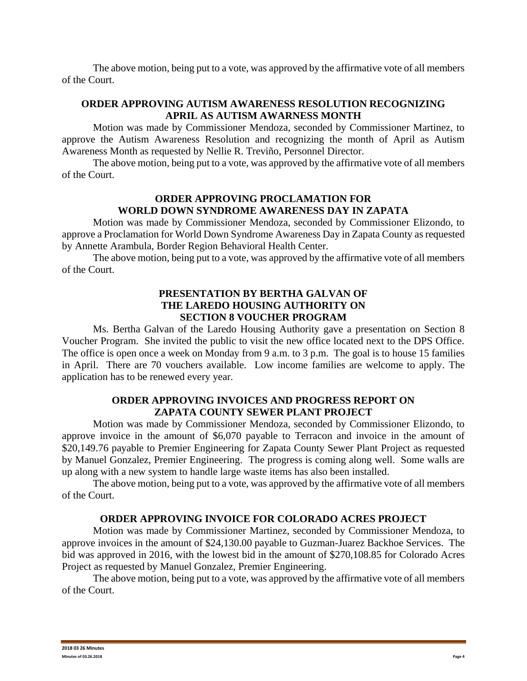The above motion, being put to a vote, was approved by the affirmative vote of all members of the Court.

# **ORDER APPROVING AUTISM AWARENESS RESOLUTION RECOGNIZING APRIL AS AUTISM AWARNESS MONTH**

Motion was made by Commissioner Mendoza, seconded by Commissioner Martinez, to approve the Autism Awareness Resolution and recognizing the month of April as Autism Awareness Month as requested by Nellie R. Treviño, Personnel Director.

The above motion, being put to a vote, was approved by the affirmative vote of all members of the Court.

## **ORDER APPROVING PROCLAMATION FOR WORLD DOWN SYNDROME AWARENESS DAY IN ZAPATA**

Motion was made by Commissioner Mendoza, seconded by Commissioner Elizondo, to approve a Proclamation for World Down Syndrome Awareness Day in Zapata County as requested by Annette Arambula, Border Region Behavioral Health Center.

The above motion, being put to a vote, was approved by the affirmative vote of all members of the Court.

### **PRESENTATION BY BERTHA GALVAN OF THE LAREDO HOUSING AUTHORITY ON SECTION 8 VOUCHER PROGRAM**

Ms. Bertha Galvan of the Laredo Housing Authority gave a presentation on Section 8 Voucher Program. She invited the public to visit the new office located next to the DPS Office. The office is open once a week on Monday from 9 a.m. to 3 p.m. The goal is to house 15 families in April. There are 70 vouchers available. Low income families are welcome to apply. The application has to be renewed every year.

# **ORDER APPROVING INVOICES AND PROGRESS REPORT ON ZAPATA COUNTY SEWER PLANT PROJECT**

Motion was made by Commissioner Mendoza, seconded by Commissioner Elizondo, to approve invoice in the amount of \$6,070 payable to Terracon and invoice in the amount of \$20,149.76 payable to Premier Engineering for Zapata County Sewer Plant Project as requested by Manuel Gonzalez, Premier Engineering. The progress is coming along well. Some walls are up along with a new system to handle large waste items has also been installed.

The above motion, being put to a vote, was approved by the affirmative vote of all members of the Court.

# **ORDER APPROVING INVOICE FOR COLORADO ACRES PROJECT**

Motion was made by Commissioner Martinez, seconded by Commissioner Mendoza, to approve invoices in the amount of \$24,130.00 payable to Guzman-Juarez Backhoe Services. The bid was approved in 2016, with the lowest bid in the amount of \$270,108.85 for Colorado Acres Project as requested by Manuel Gonzalez, Premier Engineering.

The above motion, being put to a vote, was approved by the affirmative vote of all members of the Court.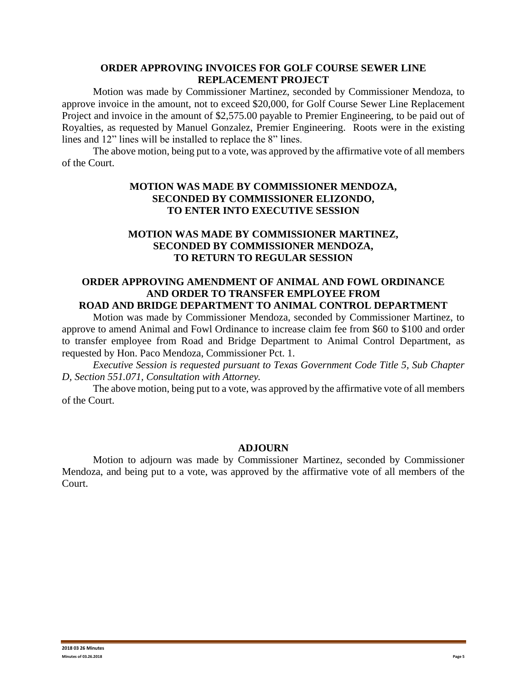### **ORDER APPROVING INVOICES FOR GOLF COURSE SEWER LINE REPLACEMENT PROJECT**

Motion was made by Commissioner Martinez, seconded by Commissioner Mendoza, to approve invoice in the amount, not to exceed \$20,000, for Golf Course Sewer Line Replacement Project and invoice in the amount of \$2,575.00 payable to Premier Engineering, to be paid out of Royalties, as requested by Manuel Gonzalez, Premier Engineering. Roots were in the existing lines and 12" lines will be installed to replace the 8" lines.

The above motion, being put to a vote, was approved by the affirmative vote of all members of the Court.

# **MOTION WAS MADE BY COMMISSIONER MENDOZA, SECONDED BY COMMISSIONER ELIZONDO, TO ENTER INTO EXECUTIVE SESSION**

### **MOTION WAS MADE BY COMMISSIONER MARTINEZ, SECONDED BY COMMISSIONER MENDOZA, TO RETURN TO REGULAR SESSION**

#### **ORDER APPROVING AMENDMENT OF ANIMAL AND FOWL ORDINANCE AND ORDER TO TRANSFER EMPLOYEE FROM ROAD AND BRIDGE DEPARTMENT TO ANIMAL CONTROL DEPARTMENT**

Motion was made by Commissioner Mendoza, seconded by Commissioner Martinez, to approve to amend Animal and Fowl Ordinance to increase claim fee from \$60 to \$100 and order to transfer employee from Road and Bridge Department to Animal Control Department, as requested by Hon. Paco Mendoza, Commissioner Pct. 1.

*Executive Session is requested pursuant to Texas Government Code Title 5, Sub Chapter D, Section 551.071, Consultation with Attorney.*

The above motion, being put to a vote, was approved by the affirmative vote of all members of the Court.

### **ADJOURN**

Motion to adjourn was made by Commissioner Martinez, seconded by Commissioner Mendoza, and being put to a vote, was approved by the affirmative vote of all members of the Court.